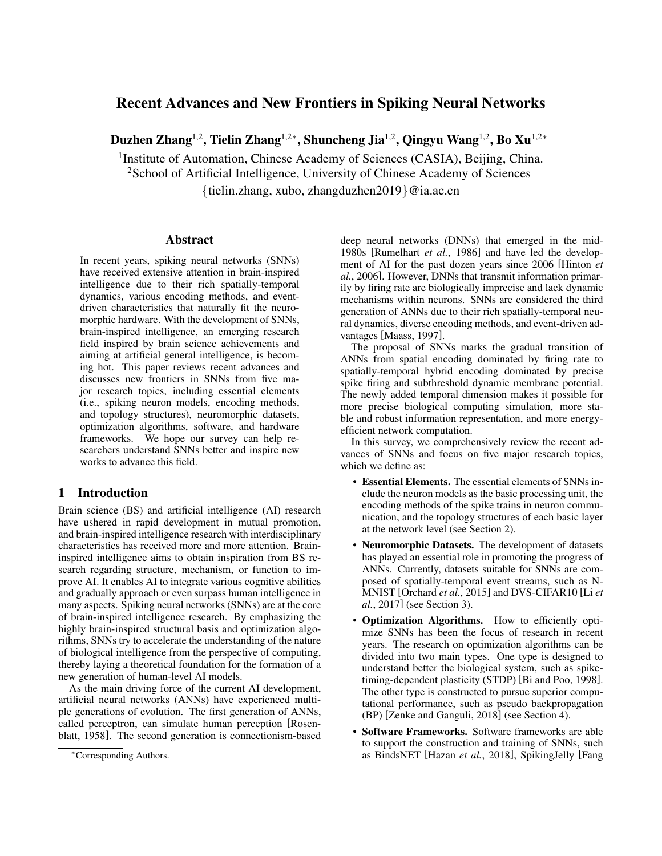# Recent Advances and New Frontiers in Spiking Neural Networks

Duzhen Zhang<sup>1,2</sup>, Tielin Zhang<sup>1,2</sup>\*, Shuncheng Jia<sup>1,2</sup>, Qingyu Wang<sup>1,2</sup>, Bo Xu<sup>1,2</sup>\*

<sup>1</sup> Institute of Automation, Chinese Academy of Sciences (CASIA), Beijing, China.

<sup>2</sup>School of Artificial Intelligence, University of Chinese Academy of Sciences

{tielin.zhang, xubo, zhangduzhen2019}@ia.ac.cn

### Abstract

In recent years, spiking neural networks (SNNs) have received extensive attention in brain-inspired intelligence due to their rich spatially-temporal dynamics, various encoding methods, and eventdriven characteristics that naturally fit the neuromorphic hardware. With the development of SNNs, brain-inspired intelligence, an emerging research field inspired by brain science achievements and aiming at artificial general intelligence, is becoming hot. This paper reviews recent advances and discusses new frontiers in SNNs from five major research topics, including essential elements (i.e., spiking neuron models, encoding methods, and topology structures), neuromorphic datasets, optimization algorithms, software, and hardware frameworks. We hope our survey can help researchers understand SNNs better and inspire new works to advance this field.

# 1 Introduction

Brain science (BS) and artificial intelligence (AI) research have ushered in rapid development in mutual promotion, and brain-inspired intelligence research with interdisciplinary characteristics has received more and more attention. Braininspired intelligence aims to obtain inspiration from BS research regarding structure, mechanism, or function to improve AI. It enables AI to integrate various cognitive abilities and gradually approach or even surpass human intelligence in many aspects. Spiking neural networks (SNNs) are at the core of brain-inspired intelligence research. By emphasizing the highly brain-inspired structural basis and optimization algorithms, SNNs try to accelerate the understanding of the nature of biological intelligence from the perspective of computing, thereby laying a theoretical foundation for the formation of a new generation of human-level AI models.

As the main driving force of the current AI development, artificial neural networks (ANNs) have experienced multiple generations of evolution. The first generation of ANNs, called perceptron, can simulate human perception [\[Rosen](#page-7-0)[blatt, 1958\]](#page-7-0). The second generation is connectionism-based deep neural networks (DNNs) that emerged in the mid-1980s [\[Rumelhart](#page-7-1) *et al.*, 1986] and have led the development of AI for the past dozen years since 2006 [\[Hinton](#page-6-0) *et al.*[, 2006\]](#page-6-0). However, DNNs that transmit information primarily by firing rate are biologically imprecise and lack dynamic mechanisms within neurons. SNNs are considered the third generation of ANNs due to their rich spatially-temporal neural dynamics, diverse encoding methods, and event-driven advantages [\[Maass, 1997\]](#page-7-2).

The proposal of SNNs marks the gradual transition of ANNs from spatial encoding dominated by firing rate to spatially-temporal hybrid encoding dominated by precise spike firing and subthreshold dynamic membrane potential. The newly added temporal dimension makes it possible for more precise biological computing simulation, more stable and robust information representation, and more energyefficient network computation.

In this survey, we comprehensively review the recent advances of SNNs and focus on five major research topics, which we define as:

- Essential Elements. The essential elements of SNNs include the neuron models as the basic processing unit, the encoding methods of the spike trains in neuron communication, and the topology structures of each basic layer at the network level (see Section [2\)](#page-1-0).
- Neuromorphic Datasets. The development of datasets has played an essential role in promoting the progress of ANNs. Currently, datasets suitable for SNNs are composed of spatially-temporal event streams, such as N-MNIST [\[Orchard](#page-7-3) *et al.*, 2015] and DVS-CIFAR10 [\[Li](#page-7-4) *et al.*[, 2017\]](#page-7-4) (see Section [3\)](#page-3-0).
- Optimization Algorithms. How to efficiently optimize SNNs has been the focus of research in recent years. The research on optimization algorithms can be divided into two main types. One type is designed to understand better the biological system, such as spiketiming-dependent plasticity (STDP) [\[Bi and Poo, 1998\]](#page-6-1). The other type is constructed to pursue superior computational performance, such as pseudo backpropagation (BP) [\[Zenke and Ganguli, 2018\]](#page-7-5) (see Section [4\)](#page-3-1).
- Software Frameworks. Software frameworks are able to support the construction and training of SNNs, such as BindsNET [Hazan *et al.*[, 2018\]](#page-6-2), SpikingJelly [\[Fang](#page-6-3)

<sup>∗</sup>Corresponding Authors.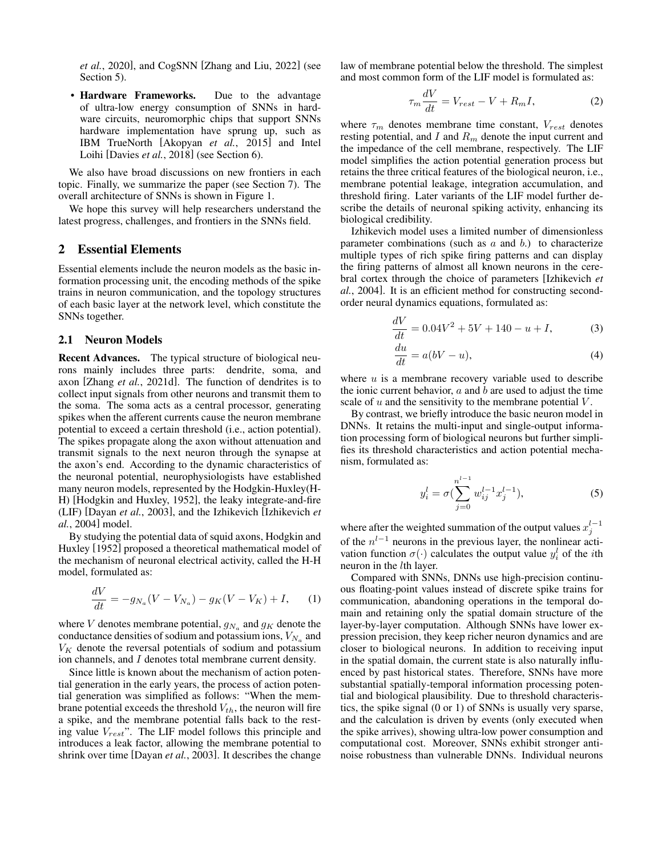*et al.*[, 2020\]](#page-6-3), and CogSNN [\[Zhang and Liu, 2022\]](#page-7-6) (see Section [5\)](#page-4-0).

• Hardware Frameworks. Due to the advantage of ultra-low energy consumption of SNNs in hardware circuits, neuromorphic chips that support SNNs hardware implementation have sprung up, such as IBM TrueNorth [\[Akopyan](#page-6-4) *et al.*, 2015] and Intel Loihi [\[Davies](#page-6-5) *et al.*, 2018] (see Section [6\)](#page-5-0).

We also have broad discussions on new frontiers in each topic. Finally, we summarize the paper (see Section [7\)](#page-5-1). The overall architecture of SNNs is shown in Figure [1.](#page-2-0)

We hope this survey will help researchers understand the latest progress, challenges, and frontiers in the SNNs field.

### <span id="page-1-0"></span>2 Essential Elements

Essential elements include the neuron models as the basic information processing unit, the encoding methods of the spike trains in neuron communication, and the topology structures of each basic layer at the network level, which constitute the SNNs together.

#### 2.1 Neuron Models

Recent Advances. The typical structure of biological neurons mainly includes three parts: dendrite, soma, and axon [Zhang *et al.*[, 2021d\]](#page-7-7). The function of dendrites is to collect input signals from other neurons and transmit them to the soma. The soma acts as a central processor, generating spikes when the afferent currents cause the neuron membrane potential to exceed a certain threshold (i.e., action potential). The spikes propagate along the axon without attenuation and transmit signals to the next neuron through the synapse at the axon's end. According to the dynamic characteristics of the neuronal potential, neurophysiologists have established many neuron models, represented by the Hodgkin-Huxley(H-H) [\[Hodgkin and Huxley, 1952\]](#page-6-6), the leaky integrate-and-fire (LIF) [\[Dayan](#page-6-7) *et al.*, 2003], and the Izhikevich [\[Izhikevich](#page-6-8) *et al.*[, 2004\]](#page-6-8) model.

By studying the potential data of squid axons, Hodgkin and Huxley [\[1952\]](#page-6-6) proposed a theoretical mathematical model of the mechanism of neuronal electrical activity, called the H-H model, formulated as:

$$
\frac{dV}{dt} = -g_{N_a}(V - V_{N_a}) - g_K(V - V_K) + I, \qquad (1)
$$

where V denotes membrane potential,  $g_{N_a}$  and  $g_K$  denote the conductance densities of sodium and potassium ions,  $V_{N_a}$  and  $V_K$  denote the reversal potentials of sodium and potassium ion channels, and I denotes total membrane current density.

Since little is known about the mechanism of action potential generation in the early years, the process of action potential generation was simplified as follows: "When the membrane potential exceeds the threshold  $V_{th}$ , the neuron will fire a spike, and the membrane potential falls back to the resting value  $V_{rest}$ ". The LIF model follows this principle and introduces a leak factor, allowing the membrane potential to shrink over time [\[Dayan](#page-6-7) *et al.*, 2003]. It describes the change law of membrane potential below the threshold. The simplest and most common form of the LIF model is formulated as:

 $\tau$ 

$$
{}_{m}\frac{dV}{dt} = V_{rest} - V + R_{m}I,\tag{2}
$$

where  $\tau_m$  denotes membrane time constant,  $V_{rest}$  denotes resting potential, and I and  $R_m$  denote the input current and the impedance of the cell membrane, respectively. The LIF model simplifies the action potential generation process but retains the three critical features of the biological neuron, i.e., membrane potential leakage, integration accumulation, and threshold firing. Later variants of the LIF model further describe the details of neuronal spiking activity, enhancing its biological credibility.

Izhikevich model uses a limited number of dimensionless parameter combinations (such as  $a$  and  $b$ .) to characterize multiple types of rich spike firing patterns and can display the firing patterns of almost all known neurons in the cerebral cortex through the choice of parameters [\[Izhikevich](#page-6-8) *et al.*[, 2004\]](#page-6-8). It is an efficient method for constructing secondorder neural dynamics equations, formulated as:

$$
\frac{dV}{dt} = 0.04V^2 + 5V + 140 - u + I,\tag{3}
$$

$$
\frac{du}{dt} = a(bV - u),\tag{4}
$$

where  $u$  is a membrane recovery variable used to describe the ionic current behavior,  $a$  and  $b$  are used to adjust the time scale of  $u$  and the sensitivity to the membrane potential  $V$ .

By contrast, we briefly introduce the basic neuron model in DNNs. It retains the multi-input and single-output information processing form of biological neurons but further simplifies its threshold characteristics and action potential mechanism, formulated as:

$$
y_i^l = \sigma \left( \sum_{j=0}^{n^{l-1}} w_{ij}^{l-1} x_j^{l-1} \right),\tag{5}
$$

where after the weighted summation of the output values  $x_j^{l-1}$ of the  $n^{l-1}$  neurons in the previous layer, the nonlinear activation function  $\sigma(\cdot)$  calculates the output value  $y_i^l$  of the *i*th neuron in the lth layer.

Compared with SNNs, DNNs use high-precision continuous floating-point values instead of discrete spike trains for communication, abandoning operations in the temporal domain and retaining only the spatial domain structure of the layer-by-layer computation. Although SNNs have lower expression precision, they keep richer neuron dynamics and are closer to biological neurons. In addition to receiving input in the spatial domain, the current state is also naturally influenced by past historical states. Therefore, SNNs have more substantial spatially-temporal information processing potential and biological plausibility. Due to threshold characteristics, the spike signal (0 or 1) of SNNs is usually very sparse, and the calculation is driven by events (only executed when the spike arrives), showing ultra-low power consumption and computational cost. Moreover, SNNs exhibit stronger antinoise robustness than vulnerable DNNs. Individual neurons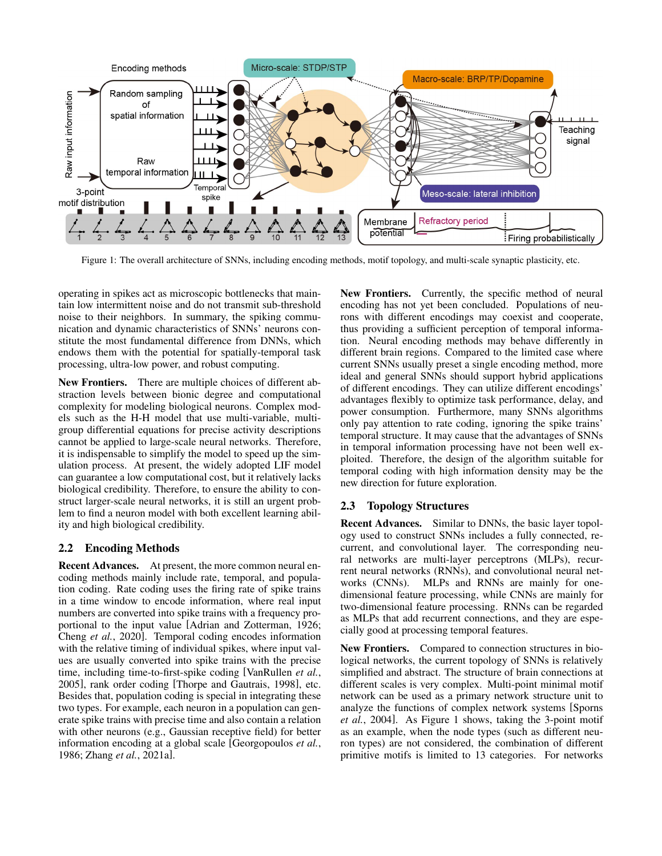<span id="page-2-0"></span>

Figure 1: The overall architecture of SNNs, including encoding methods, motif topology, and multi-scale synaptic plasticity, etc.

operating in spikes act as microscopic bottlenecks that maintain low intermittent noise and do not transmit sub-threshold noise to their neighbors. In summary, the spiking communication and dynamic characteristics of SNNs' neurons constitute the most fundamental difference from DNNs, which endows them with the potential for spatially-temporal task processing, ultra-low power, and robust computing.

New Frontiers. There are multiple choices of different abstraction levels between bionic degree and computational complexity for modeling biological neurons. Complex models such as the H-H model that use multi-variable, multigroup differential equations for precise activity descriptions cannot be applied to large-scale neural networks. Therefore, it is indispensable to simplify the model to speed up the simulation process. At present, the widely adopted LIF model can guarantee a low computational cost, but it relatively lacks biological credibility. Therefore, to ensure the ability to construct larger-scale neural networks, it is still an urgent problem to find a neuron model with both excellent learning ability and high biological credibility.

# 2.2 Encoding Methods

Recent Advances. At present, the more common neural encoding methods mainly include rate, temporal, and population coding. Rate coding uses the firing rate of spike trains in a time window to encode information, where real input numbers are converted into spike trains with a frequency proportional to the input value [\[Adrian and Zotterman, 1926;](#page-6-9) Cheng *et al.*[, 2020\]](#page-6-10). Temporal coding encodes information with the relative timing of individual spikes, where input values are usually converted into spike trains with the precise time, including time-to-first-spike coding [\[VanRullen](#page-7-8) *et al.*, [2005\]](#page-7-8), rank order coding [\[Thorpe and Gautrais, 1998\]](#page-7-9), etc. Besides that, population coding is special in integrating these two types. For example, each neuron in a population can generate spike trains with precise time and also contain a relation with other neurons (e.g., Gaussian receptive field) for better information encoding at a global scale [\[Georgopoulos](#page-6-11) *et al.*, [1986;](#page-6-11) Zhang *et al.*[, 2021a\]](#page-7-10).

New Frontiers. Currently, the specific method of neural encoding has not yet been concluded. Populations of neurons with different encodings may coexist and cooperate, thus providing a sufficient perception of temporal information. Neural encoding methods may behave differently in different brain regions. Compared to the limited case where current SNNs usually preset a single encoding method, more ideal and general SNNs should support hybrid applications of different encodings. They can utilize different encodings' advantages flexibly to optimize task performance, delay, and power consumption. Furthermore, many SNNs algorithms only pay attention to rate coding, ignoring the spike trains' temporal structure. It may cause that the advantages of SNNs in temporal information processing have not been well exploited. Therefore, the design of the algorithm suitable for temporal coding with high information density may be the new direction for future exploration.

# 2.3 Topology Structures

Recent Advances. Similar to DNNs, the basic layer topology used to construct SNNs includes a fully connected, recurrent, and convolutional layer. The corresponding neural networks are multi-layer perceptrons (MLPs), recurrent neural networks (RNNs), and convolutional neural networks (CNNs). MLPs and RNNs are mainly for onedimensional feature processing, while CNNs are mainly for two-dimensional feature processing. RNNs can be regarded as MLPs that add recurrent connections, and they are especially good at processing temporal features.

New Frontiers. Compared to connection structures in biological networks, the current topology of SNNs is relatively simplified and abstract. The structure of brain connections at different scales is very complex. Multi-point minimal motif network can be used as a primary network structure unit to analyze the functions of complex network systems [\[Sporns](#page-7-11) *et al.*[, 2004\]](#page-7-11). As Figure [1](#page-2-0) shows, taking the 3-point motif as an example, when the node types (such as different neuron types) are not considered, the combination of different primitive motifs is limited to 13 categories. For networks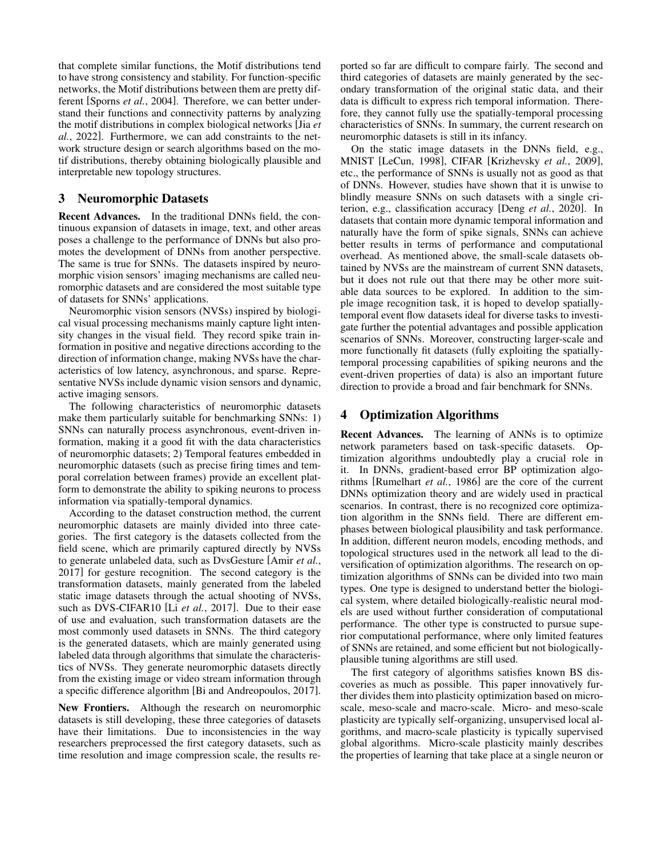that complete similar functions, the Motif distributions tend to have strong consistency and stability. For function-specific networks, the Motif distributions between them are pretty different [\[Sporns](#page-7-11) *et al.*, 2004]. Therefore, we can better understand their functions and connectivity patterns by analyzing the motif distributions in complex biological networks [\[Jia](#page-6-12) *et al.*[, 2022\]](#page-6-12). Furthermore, we can add constraints to the network structure design or search algorithms based on the motif distributions, thereby obtaining biologically plausible and interpretable new topology structures.

# <span id="page-3-0"></span>3 Neuromorphic Datasets

Recent Advances. In the traditional DNNs field, the continuous expansion of datasets in image, text, and other areas poses a challenge to the performance of DNNs but also promotes the development of DNNs from another perspective. The same is true for SNNs. The datasets inspired by neuromorphic vision sensors' imaging mechanisms are called neuromorphic datasets and are considered the most suitable type of datasets for SNNs' applications.

Neuromorphic vision sensors (NVSs) inspired by biological visual processing mechanisms mainly capture light intensity changes in the visual field. They record spike train information in positive and negative directions according to the direction of information change, making NVSs have the characteristics of low latency, asynchronous, and sparse. Representative NVSs include dynamic vision sensors and dynamic, active imaging sensors.

The following characteristics of neuromorphic datasets make them particularly suitable for benchmarking SNNs: 1) SNNs can naturally process asynchronous, event-driven information, making it a good fit with the data characteristics of neuromorphic datasets; 2) Temporal features embedded in neuromorphic datasets (such as precise firing times and temporal correlation between frames) provide an excellent platform to demonstrate the ability to spiking neurons to process information via spatially-temporal dynamics.

According to the dataset construction method, the current neuromorphic datasets are mainly divided into three categories. The first category is the datasets collected from the field scene, which are primarily captured directly by NVSs to generate unlabeled data, such as DvsGesture [\[Amir](#page-6-13) *et al.*, [2017\]](#page-6-13) for gesture recognition. The second category is the transformation datasets, mainly generated from the labeled static image datasets through the actual shooting of NVSs, such as DVS-CIFAR10 [Li *et al.*[, 2017\]](#page-7-4). Due to their ease of use and evaluation, such transformation datasets are the most commonly used datasets in SNNs. The third category is the generated datasets, which are mainly generated using labeled data through algorithms that simulate the characteristics of NVSs. They generate neuromorphic datasets directly from the existing image or video stream information through a specific difference algorithm [\[Bi and Andreopoulos, 2017\]](#page-6-14).

New Frontiers. Although the research on neuromorphic datasets is still developing, these three categories of datasets have their limitations. Due to inconsistencies in the way researchers preprocessed the first category datasets, such as time resolution and image compression scale, the results reported so far are difficult to compare fairly. The second and third categories of datasets are mainly generated by the secondary transformation of the original static data, and their data is difficult to express rich temporal information. Therefore, they cannot fully use the spatially-temporal processing characteristics of SNNs. In summary, the current research on neuromorphic datasets is still in its infancy.

On the static image datasets in the DNNs field, e.g., MNIST [\[LeCun, 1998\]](#page-7-12), CIFAR [\[Krizhevsky](#page-7-13) *et al.*, 2009], etc., the performance of SNNs is usually not as good as that of DNNs. However, studies have shown that it is unwise to blindly measure SNNs on such datasets with a single criterion, e.g., classification accuracy [Deng *et al.*[, 2020\]](#page-6-15). In datasets that contain more dynamic temporal information and naturally have the form of spike signals, SNNs can achieve better results in terms of performance and computational overhead. As mentioned above, the small-scale datasets obtained by NVSs are the mainstream of current SNN datasets, but it does not rule out that there may be other more suitable data sources to be explored. In addition to the simple image recognition task, it is hoped to develop spatiallytemporal event flow datasets ideal for diverse tasks to investigate further the potential advantages and possible application scenarios of SNNs. Moreover, constructing larger-scale and more functionally fit datasets (fully exploiting the spatiallytemporal processing capabilities of spiking neurons and the event-driven properties of data) is also an important future direction to provide a broad and fair benchmark for SNNs.

# <span id="page-3-1"></span>4 Optimization Algorithms

Recent Advances. The learning of ANNs is to optimize network parameters based on task-specific datasets. Optimization algorithms undoubtedly play a crucial role in it. In DNNs, gradient-based error BP optimization algorithms [\[Rumelhart](#page-7-1) *et al.*, 1986] are the core of the current DNNs optimization theory and are widely used in practical scenarios. In contrast, there is no recognized core optimization algorithm in the SNNs field. There are different emphases between biological plausibility and task performance. In addition, different neuron models, encoding methods, and topological structures used in the network all lead to the diversification of optimization algorithms. The research on optimization algorithms of SNNs can be divided into two main types. One type is designed to understand better the biological system, where detailed biologically-realistic neural models are used without further consideration of computational performance. The other type is constructed to pursue superior computational performance, where only limited features of SNNs are retained, and some efficient but not biologicallyplausible tuning algorithms are still used.

The first category of algorithms satisfies known BS discoveries as much as possible. This paper innovatively further divides them into plasticity optimization based on microscale, meso-scale and macro-scale. Micro- and meso-scale plasticity are typically self-organizing, unsupervised local algorithms, and macro-scale plasticity is typically supervised global algorithms. Micro-scale plasticity mainly describes the properties of learning that take place at a single neuron or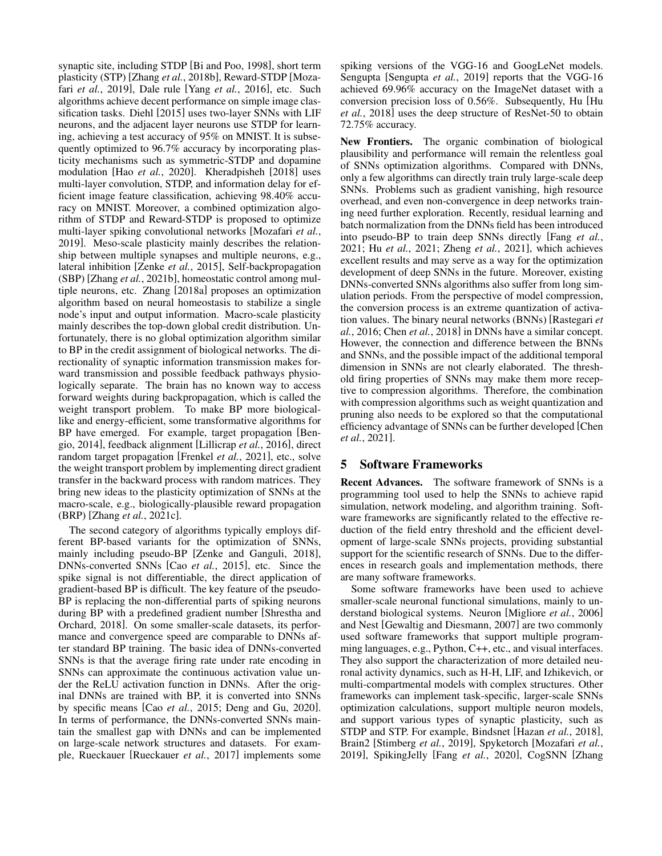synaptic site, including STDP [\[Bi and Poo, 1998\]](#page-6-1), short term plasticity (STP) [Zhang *et al.*[, 2018b\]](#page-7-14), Reward-STDP [\[Moza](#page-7-15)fari *et al.*[, 2019\]](#page-7-15), Dale rule [Yang *et al.*[, 2016\]](#page-7-16), etc. Such algorithms achieve decent performance on simple image classification tasks. Diehl [\[2015\]](#page-6-16) uses two-layer SNNs with LIF neurons, and the adjacent layer neurons use STDP for learning, achieving a test accuracy of 95% on MNIST. It is subsequently optimized to 96.7% accuracy by incorporating plasticity mechanisms such as symmetric-STDP and dopamine modulation [Hao *et al.*[, 2020\]](#page-6-17). Kheradpisheh [\[2018\]](#page-7-17) uses multi-layer convolution, STDP, and information delay for efficient image feature classification, achieving 98.40% accuracy on MNIST. Moreover, a combined optimization algorithm of STDP and Reward-STDP is proposed to optimize multi-layer spiking convolutional networks [\[Mozafari](#page-7-15) *et al.*, [2019\]](#page-7-15). Meso-scale plasticity mainly describes the relationship between multiple synapses and multiple neurons, e.g., lateral inhibition [Zenke *et al.*[, 2015\]](#page-7-18), Self-backpropagation (SBP) [Zhang *et al.*[, 2021b\]](#page-7-19), homeostatic control among multiple neurons, etc. Zhang [\[2018a\]](#page-7-20) proposes an optimization algorithm based on neural homeostasis to stabilize a single node's input and output information. Macro-scale plasticity mainly describes the top-down global credit distribution. Unfortunately, there is no global optimization algorithm similar to BP in the credit assignment of biological networks. The directionality of synaptic information transmission makes forward transmission and possible feedback pathways physiologically separate. The brain has no known way to access forward weights during backpropagation, which is called the weight transport problem. To make BP more biologicallike and energy-efficient, some transformative algorithms for BP have emerged. For example, target propagation [\[Ben](#page-6-18)[gio, 2014\]](#page-6-18), feedback alignment [\[Lillicrap](#page-7-21) *et al.*, 2016], direct random target propagation [\[Frenkel](#page-6-19) *et al.*, 2021], etc., solve the weight transport problem by implementing direct gradient transfer in the backward process with random matrices. They bring new ideas to the plasticity optimization of SNNs at the macro-scale, e.g., biologically-plausible reward propagation (BRP) [Zhang *et al.*[, 2021c\]](#page-7-22).

The second category of algorithms typically employs different BP-based variants for the optimization of SNNs, mainly including pseudo-BP [\[Zenke and Ganguli, 2018\]](#page-7-5), DNNs-converted SNNs [Cao *et al.*[, 2015\]](#page-6-20), etc. Since the spike signal is not differentiable, the direct application of gradient-based BP is difficult. The key feature of the pseudo-BP is replacing the non-differential parts of spiking neurons during BP with a predefined gradient number [\[Shrestha and](#page-7-23) [Orchard, 2018\]](#page-7-23). On some smaller-scale datasets, its performance and convergence speed are comparable to DNNs after standard BP training. The basic idea of DNNs-converted SNNs is that the average firing rate under rate encoding in SNNs can approximate the continuous activation value under the ReLU activation function in DNNs. After the original DNNs are trained with BP, it is converted into SNNs by specific means [Cao *et al.*[, 2015;](#page-6-20) [Deng and Gu, 2020\]](#page-6-21). In terms of performance, the DNNs-converted SNNs maintain the smallest gap with DNNs and can be implemented on large-scale network structures and datasets. For example, Rueckauer [\[Rueckauer](#page-7-24) *et al.*, 2017] implements some spiking versions of the VGG-16 and GoogLeNet models. Sengupta [\[Sengupta](#page-7-25) *et al.*, 2019] reports that the VGG-16 achieved 69.96% accuracy on the ImageNet dataset with a conversion precision loss of 0.56%. Subsequently, Hu [\[Hu](#page-6-22) *et al.*[, 2018\]](#page-6-22) uses the deep structure of ResNet-50 to obtain 72.75% accuracy.

New Frontiers. The organic combination of biological plausibility and performance will remain the relentless goal of SNNs optimization algorithms. Compared with DNNs, only a few algorithms can directly train truly large-scale deep SNNs. Problems such as gradient vanishing, high resource overhead, and even non-convergence in deep networks training need further exploration. Recently, residual learning and batch normalization from the DNNs field has been introduced into pseudo-BP to train deep SNNs directly [\[Fang](#page-6-23) *et al.*, [2021;](#page-6-23) Hu *et al.*[, 2021;](#page-6-24) Zheng *et al.*[, 2021\]](#page-7-26), which achieves excellent results and may serve as a way for the optimization development of deep SNNs in the future. Moreover, existing DNNs-converted SNNs algorithms also suffer from long simulation periods. From the perspective of model compression, the conversion process is an extreme quantization of activation values. The binary neural networks (BNNs) [\[Rastegari](#page-7-27) *et al.*[, 2016;](#page-7-27) Chen *et al.*[, 2018\]](#page-6-25) in DNNs have a similar concept. However, the connection and difference between the BNNs and SNNs, and the possible impact of the additional temporal dimension in SNNs are not clearly elaborated. The threshold firing properties of SNNs may make them more receptive to compression algorithms. Therefore, the combination with compression algorithms such as weight quantization and pruning also needs to be explored so that the computational efficiency advantage of SNNs can be further developed [\[Chen](#page-6-26) *et al.*[, 2021\]](#page-6-26).

# <span id="page-4-0"></span>5 Software Frameworks

Recent Advances. The software framework of SNNs is a programming tool used to help the SNNs to achieve rapid simulation, network modeling, and algorithm training. Software frameworks are significantly related to the effective reduction of the field entry threshold and the efficient development of large-scale SNNs projects, providing substantial support for the scientific research of SNNs. Due to the differences in research goals and implementation methods, there are many software frameworks.

Some software frameworks have been used to achieve smaller-scale neuronal functional simulations, mainly to understand biological systems. Neuron [\[Migliore](#page-7-28) *et al.*, 2006] and Nest [\[Gewaltig and Diesmann, 2007\]](#page-6-27) are two commonly used software frameworks that support multiple programming languages, e.g., Python, C++, etc., and visual interfaces. They also support the characterization of more detailed neuronal activity dynamics, such as H-H, LIF, and Izhikevich, or multi-compartmental models with complex structures. Other frameworks can implement task-specific, larger-scale SNNs optimization calculations, support multiple neuron models, and support various types of synaptic plasticity, such as STDP and STP. For example, Bindsnet [\[Hazan](#page-6-2) *et al.*, 2018], Brain2 [\[Stimberg](#page-7-29) *et al.*, 2019], Spyketorch [\[Mozafari](#page-7-15) *et al.*, [2019\]](#page-7-15), SpikingJelly [Fang *et al.*[, 2020\]](#page-6-3), CogSNN [\[Zhang](#page-7-6)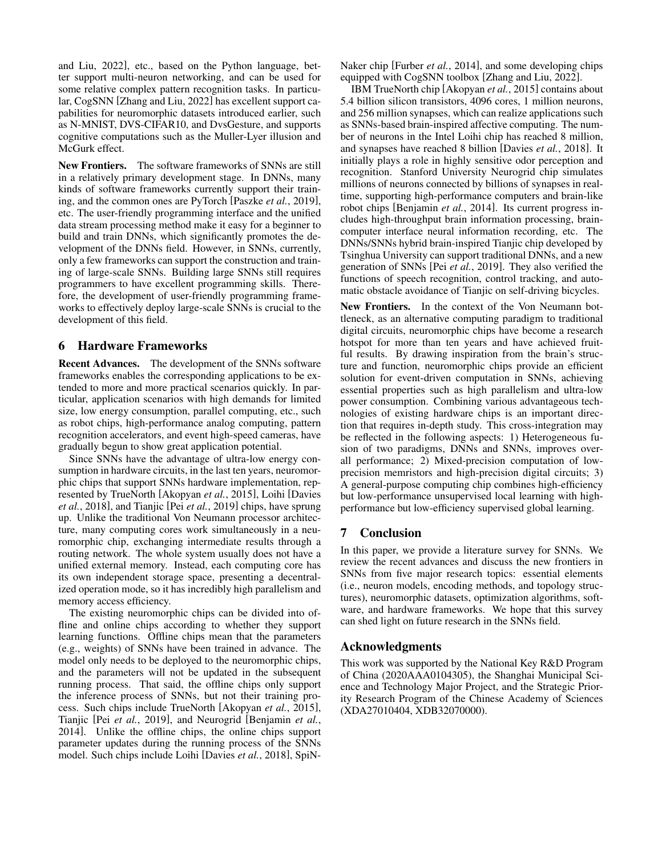[and Liu, 2022\]](#page-7-6), etc., based on the Python language, better support multi-neuron networking, and can be used for some relative complex pattern recognition tasks. In particular, CogSNN [\[Zhang and Liu, 2022\]](#page-7-6) has excellent support capabilities for neuromorphic datasets introduced earlier, such as N-MNIST, DVS-CIFAR10, and DvsGesture, and supports cognitive computations such as the Muller-Lyer illusion and McGurk effect.

New Frontiers. The software frameworks of SNNs are still in a relatively primary development stage. In DNNs, many kinds of software frameworks currently support their training, and the common ones are PyTorch [\[Paszke](#page-7-30) *et al.*, 2019], etc. The user-friendly programming interface and the unified data stream processing method make it easy for a beginner to build and train DNNs, which significantly promotes the development of the DNNs field. However, in SNNs, currently, only a few frameworks can support the construction and training of large-scale SNNs. Building large SNNs still requires programmers to have excellent programming skills. Therefore, the development of user-friendly programming frameworks to effectively deploy large-scale SNNs is crucial to the development of this field.

# <span id="page-5-0"></span>6 Hardware Frameworks

Recent Advances. The development of the SNNs software frameworks enables the corresponding applications to be extended to more and more practical scenarios quickly. In particular, application scenarios with high demands for limited size, low energy consumption, parallel computing, etc., such as robot chips, high-performance analog computing, pattern recognition accelerators, and event high-speed cameras, have gradually begun to show great application potential.

Since SNNs have the advantage of ultra-low energy consumption in hardware circuits, in the last ten years, neuromorphic chips that support SNNs hardware implementation, represented by TrueNorth [\[Akopyan](#page-6-4) *et al.*, 2015], Loihi [\[Davies](#page-6-5) *et al.*[, 2018\]](#page-6-5), and Tianjic [Pei *et al.*[, 2019\]](#page-7-31) chips, have sprung up. Unlike the traditional Von Neumann processor architecture, many computing cores work simultaneously in a neuromorphic chip, exchanging intermediate results through a routing network. The whole system usually does not have a unified external memory. Instead, each computing core has its own independent storage space, presenting a decentralized operation mode, so it has incredibly high parallelism and memory access efficiency.

The existing neuromorphic chips can be divided into offline and online chips according to whether they support learning functions. Offline chips mean that the parameters (e.g., weights) of SNNs have been trained in advance. The model only needs to be deployed to the neuromorphic chips, and the parameters will not be updated in the subsequent running process. That said, the offline chips only support the inference process of SNNs, but not their training process. Such chips include TrueNorth [\[Akopyan](#page-6-4) *et al.*, 2015], Tianjic [Pei *et al.*[, 2019\]](#page-7-31), and Neurogrid [\[Benjamin](#page-6-28) *et al.*, [2014\]](#page-6-28). Unlike the offline chips, the online chips support parameter updates during the running process of the SNNs model. Such chips include Loihi [\[Davies](#page-6-5) *et al.*, 2018], SpiN- Naker chip [\[Furber](#page-6-29) *et al.*, 2014], and some developing chips equipped with CogSNN toolbox [\[Zhang and Liu, 2022\]](#page-7-6).

IBM TrueNorth chip [\[Akopyan](#page-6-4) *et al.*, 2015] contains about 5.4 billion silicon transistors, 4096 cores, 1 million neurons, and 256 million synapses, which can realize applications such as SNNs-based brain-inspired affective computing. The number of neurons in the Intel Loihi chip has reached 8 million, and synapses have reached 8 billion [\[Davies](#page-6-5) *et al.*, 2018]. It initially plays a role in highly sensitive odor perception and recognition. Stanford University Neurogrid chip simulates millions of neurons connected by billions of synapses in realtime, supporting high-performance computers and brain-like robot chips [\[Benjamin](#page-6-28) *et al.*, 2014]. Its current progress includes high-throughput brain information processing, braincomputer interface neural information recording, etc. The DNNs/SNNs hybrid brain-inspired Tianjic chip developed by Tsinghua University can support traditional DNNs, and a new generation of SNNs [Pei *et al.*[, 2019\]](#page-7-31). They also verified the functions of speech recognition, control tracking, and automatic obstacle avoidance of Tianjic on self-driving bicycles.

New Frontiers. In the context of the Von Neumann bottleneck, as an alternative computing paradigm to traditional digital circuits, neuromorphic chips have become a research hotspot for more than ten years and have achieved fruitful results. By drawing inspiration from the brain's structure and function, neuromorphic chips provide an efficient solution for event-driven computation in SNNs, achieving essential properties such as high parallelism and ultra-low power consumption. Combining various advantageous technologies of existing hardware chips is an important direction that requires in-depth study. This cross-integration may be reflected in the following aspects: 1) Heterogeneous fusion of two paradigms, DNNs and SNNs, improves overall performance; 2) Mixed-precision computation of lowprecision memristors and high-precision digital circuits; 3) A general-purpose computing chip combines high-efficiency but low-performance unsupervised local learning with highperformance but low-efficiency supervised global learning.

# <span id="page-5-1"></span>7 Conclusion

In this paper, we provide a literature survey for SNNs. We review the recent advances and discuss the new frontiers in SNNs from five major research topics: essential elements (i.e., neuron models, encoding methods, and topology structures), neuromorphic datasets, optimization algorithms, software, and hardware frameworks. We hope that this survey can shed light on future research in the SNNs field.

# Acknowledgments

This work was supported by the National Key R&D Program of China (2020AAA0104305), the Shanghai Municipal Science and Technology Major Project, and the Strategic Priority Research Program of the Chinese Academy of Sciences (XDA27010404, XDB32070000).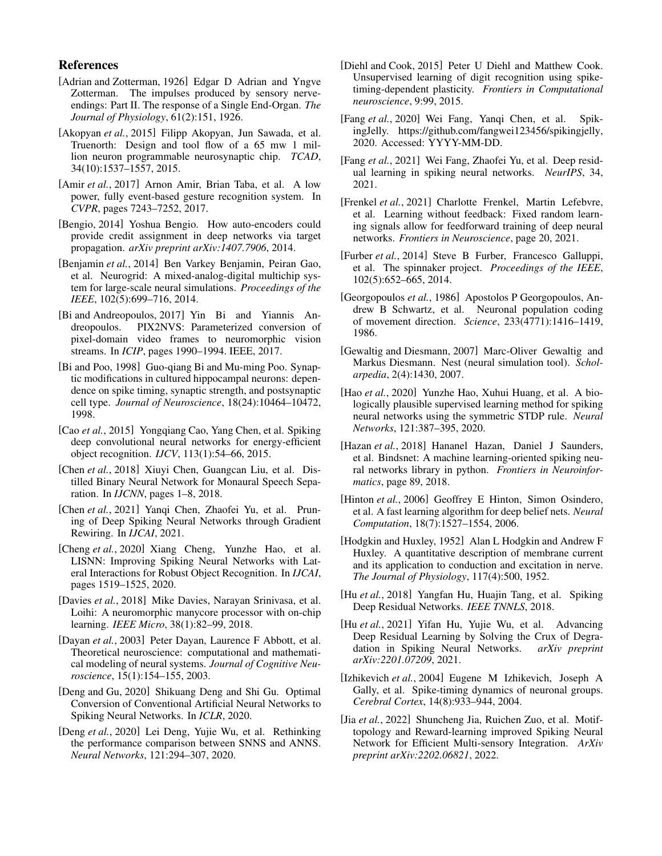# References

- <span id="page-6-9"></span>[Adrian and Zotterman, 1926] Edgar D Adrian and Yngve Zotterman. The impulses produced by sensory nerveendings: Part II. The response of a Single End-Organ. *The Journal of Physiology*, 61(2):151, 1926.
- <span id="page-6-4"></span>[Akopyan *et al.*, 2015] Filipp Akopyan, Jun Sawada, et al. Truenorth: Design and tool flow of a 65 mw 1 million neuron programmable neurosynaptic chip. *TCAD*, 34(10):1537–1557, 2015.
- <span id="page-6-13"></span>[Amir *et al.*, 2017] Arnon Amir, Brian Taba, et al. A low power, fully event-based gesture recognition system. In *CVPR*, pages 7243–7252, 2017.
- <span id="page-6-18"></span>[Bengio, 2014] Yoshua Bengio. How auto-encoders could provide credit assignment in deep networks via target propagation. *arXiv preprint arXiv:1407.7906*, 2014.
- <span id="page-6-28"></span>[Benjamin *et al.*, 2014] Ben Varkey Benjamin, Peiran Gao, et al. Neurogrid: A mixed-analog-digital multichip system for large-scale neural simulations. *Proceedings of the IEEE*, 102(5):699–716, 2014.
- <span id="page-6-14"></span>[Bi and Andreopoulos, 2017] Yin Bi and Yiannis Andreopoulos. PIX2NVS: Parameterized conversion of pixel-domain video frames to neuromorphic vision streams. In *ICIP*, pages 1990–1994. IEEE, 2017.
- <span id="page-6-1"></span>[Bi and Poo, 1998] Guo-qiang Bi and Mu-ming Poo. Synaptic modifications in cultured hippocampal neurons: dependence on spike timing, synaptic strength, and postsynaptic cell type. *Journal of Neuroscience*, 18(24):10464–10472, 1998.
- <span id="page-6-20"></span>[Cao *et al.*, 2015] Yongqiang Cao, Yang Chen, et al. Spiking deep convolutional neural networks for energy-efficient object recognition. *IJCV*, 113(1):54–66, 2015.
- <span id="page-6-25"></span>[Chen *et al.*, 2018] Xiuyi Chen, Guangcan Liu, et al. Distilled Binary Neural Network for Monaural Speech Separation. In *IJCNN*, pages 1–8, 2018.
- <span id="page-6-26"></span>[Chen *et al.*, 2021] Yanqi Chen, Zhaofei Yu, et al. Pruning of Deep Spiking Neural Networks through Gradient Rewiring. In *IJCAI*, 2021.
- <span id="page-6-10"></span>[Cheng *et al.*, 2020] Xiang Cheng, Yunzhe Hao, et al. LISNN: Improving Spiking Neural Networks with Lateral Interactions for Robust Object Recognition. In *IJCAI*, pages 1519–1525, 2020.
- <span id="page-6-5"></span>[Davies *et al.*, 2018] Mike Davies, Narayan Srinivasa, et al. Loihi: A neuromorphic manycore processor with on-chip learning. *IEEE Micro*, 38(1):82–99, 2018.
- <span id="page-6-7"></span>[Dayan *et al.*, 2003] Peter Dayan, Laurence F Abbott, et al. Theoretical neuroscience: computational and mathematical modeling of neural systems. *Journal of Cognitive Neuroscience*, 15(1):154–155, 2003.
- <span id="page-6-21"></span>[Deng and Gu, 2020] Shikuang Deng and Shi Gu. Optimal Conversion of Conventional Artificial Neural Networks to Spiking Neural Networks. In *ICLR*, 2020.
- <span id="page-6-15"></span>[Deng *et al.*, 2020] Lei Deng, Yujie Wu, et al. Rethinking the performance comparison between SNNS and ANNS. *Neural Networks*, 121:294–307, 2020.
- <span id="page-6-16"></span>[Diehl and Cook, 2015] Peter U Diehl and Matthew Cook. Unsupervised learning of digit recognition using spiketiming-dependent plasticity. *Frontiers in Computational neuroscience*, 9:99, 2015.
- <span id="page-6-3"></span>[Fang *et al.*, 2020] Wei Fang, Yanqi Chen, et al. SpikingJelly. [https://github.com/fangwei123456/spikingjelly,](https://github.com/fangwei123456/spikingjelly) 2020. Accessed: YYYY-MM-DD.
- <span id="page-6-23"></span>[Fang *et al.*, 2021] Wei Fang, Zhaofei Yu, et al. Deep residual learning in spiking neural networks. *NeurIPS*, 34, 2021.
- <span id="page-6-19"></span>[Frenkel *et al.*, 2021] Charlotte Frenkel, Martin Lefebvre, et al. Learning without feedback: Fixed random learning signals allow for feedforward training of deep neural networks. *Frontiers in Neuroscience*, page 20, 2021.
- <span id="page-6-29"></span>[Furber *et al.*, 2014] Steve B Furber, Francesco Galluppi, et al. The spinnaker project. *Proceedings of the IEEE*, 102(5):652–665, 2014.
- <span id="page-6-11"></span>[Georgopoulos *et al.*, 1986] Apostolos P Georgopoulos, Andrew B Schwartz, et al. Neuronal population coding of movement direction. *Science*, 233(4771):1416–1419, 1986.
- <span id="page-6-27"></span>[Gewaltig and Diesmann, 2007] Marc-Oliver Gewaltig and Markus Diesmann. Nest (neural simulation tool). *Scholarpedia*, 2(4):1430, 2007.
- <span id="page-6-17"></span>[Hao *et al.*, 2020] Yunzhe Hao, Xuhui Huang, et al. A biologically plausible supervised learning method for spiking neural networks using the symmetric STDP rule. *Neural Networks*, 121:387–395, 2020.
- <span id="page-6-2"></span>[Hazan et al., 2018] Hananel Hazan, Daniel J Saunders, et al. Bindsnet: A machine learning-oriented spiking neural networks library in python. *Frontiers in Neuroinformatics*, page 89, 2018.
- <span id="page-6-0"></span>[Hinton et al., 2006] Geoffrey E Hinton, Simon Osindero, et al. A fast learning algorithm for deep belief nets. *Neural Computation*, 18(7):1527–1554, 2006.
- <span id="page-6-6"></span>[Hodgkin and Huxley, 1952] Alan L Hodgkin and Andrew F Huxley. A quantitative description of membrane current and its application to conduction and excitation in nerve. *The Journal of Physiology*, 117(4):500, 1952.
- <span id="page-6-22"></span>[Hu *et al.*, 2018] Yangfan Hu, Huajin Tang, et al. Spiking Deep Residual Networks. *IEEE TNNLS*, 2018.
- <span id="page-6-24"></span>[Hu *et al.*, 2021] Yifan Hu, Yujie Wu, et al. Advancing Deep Residual Learning by Solving the Crux of Degradation in Spiking Neural Networks. *arXiv preprint arXiv:2201.07209*, 2021.
- <span id="page-6-8"></span>[Izhikevich *et al.*, 2004] Eugene M Izhikevich, Joseph A Gally, et al. Spike-timing dynamics of neuronal groups. *Cerebral Cortex*, 14(8):933–944, 2004.
- <span id="page-6-12"></span>[Jia *et al.*, 2022] Shuncheng Jia, Ruichen Zuo, et al. Motiftopology and Reward-learning improved Spiking Neural Network for Efficient Multi-sensory Integration. *ArXiv preprint arXiv:2202.06821*, 2022.